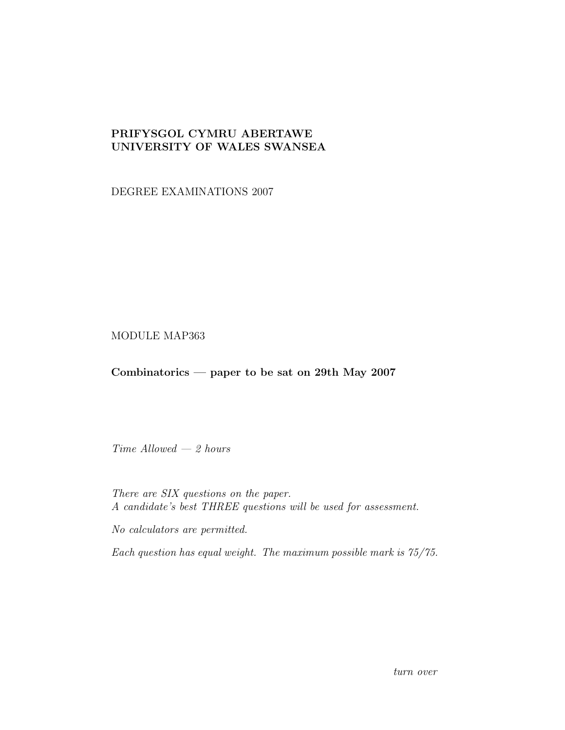## PRIFYSGOL CYMRU ABERTAWE UNIVERSITY OF WALES SWANSEA

DEGREE EXAMINATIONS 2007

## MODULE MAP363

## Combinatorics — paper to be sat on 29th May 2007

Time Allowed — 2 hours

There are SIX questions on the paper. A candidate's best THREE questions will be used for assessment.

No calculators are permitted.

Each question has equal weight. The maximum possible mark is 75/75.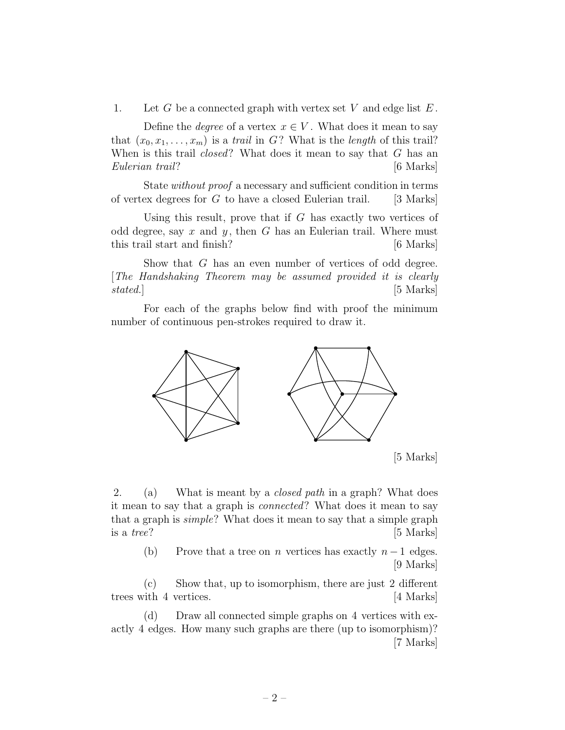1. Let G be a connected graph with vertex set V and edge list  $E$ .

Define the *degree* of a vertex  $x \in V$ . What does it mean to say that  $(x_0, x_1, \ldots, x_m)$  is a trail in G? What is the length of this trail? When is this trail  $closed$ ? What does it mean to say that  $G$  has an Eulerian trail? [6 Marks]

State without proof a necessary and sufficient condition in terms of vertex degrees for  $G$  to have a closed Eulerian trail. [3 Marks]

Using this result, prove that if  $G$  has exactly two vertices of odd degree, say x and y, then G has an Eulerian trail. Where must this trail start and finish? [6 Marks]

Show that G has an even number of vertices of odd degree. [The Handshaking Theorem may be assumed provided it is clearly stated.] [5 Marks]

For each of the graphs below find with proof the minimum number of continuous pen-strokes required to draw it.



[5 Marks]

2. (a) What is meant by a closed path in a graph? What does it mean to say that a graph is connected? What does it mean to say that a graph is simple? What does it mean to say that a simple graph is a *tree?*  $[5 \text{ Marks}]$ 

(b) Prove that a tree on n vertices has exactly  $n-1$  edges. [9 Marks]

(c) Show that, up to isomorphism, there are just 2 different trees with 4 vertices. [4 Marks]

(d) Draw all connected simple graphs on 4 vertices with exactly 4 edges. How many such graphs are there (up to isomorphism)? [7 Marks]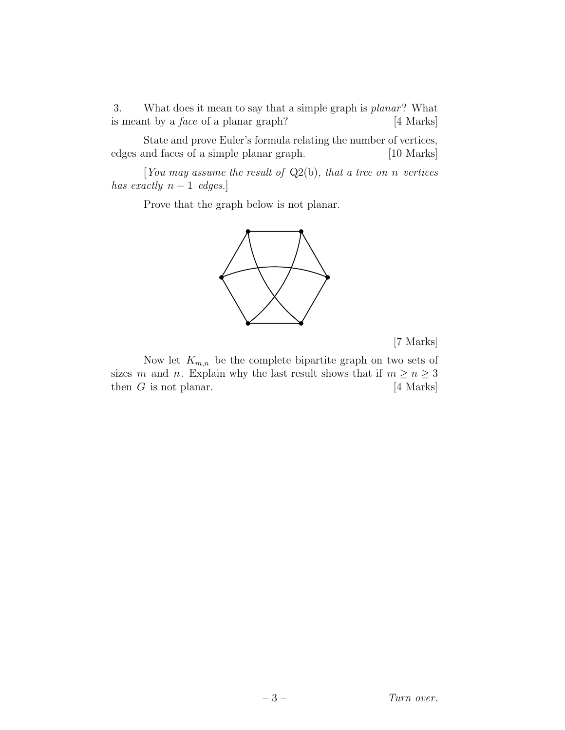3. What does it mean to say that a simple graph is planar? What is meant by a face of a planar graph? [4 Marks]

State and prove Euler's formula relating the number of vertices, edges and faces of a simple planar graph. [10 Marks]

[You may assume the result of  $Q_2(b)$ , that a tree on n vertices has exactly  $n-1$  edges.]

Prove that the graph below is not planar.



[7 Marks]

Now let  $K_{m,n}$  be the complete bipartite graph on two sets of sizes m and n. Explain why the last result shows that if  $m \ge n \ge 3$ then  $G$  is not planar.  $[4 \text{ Marks}]$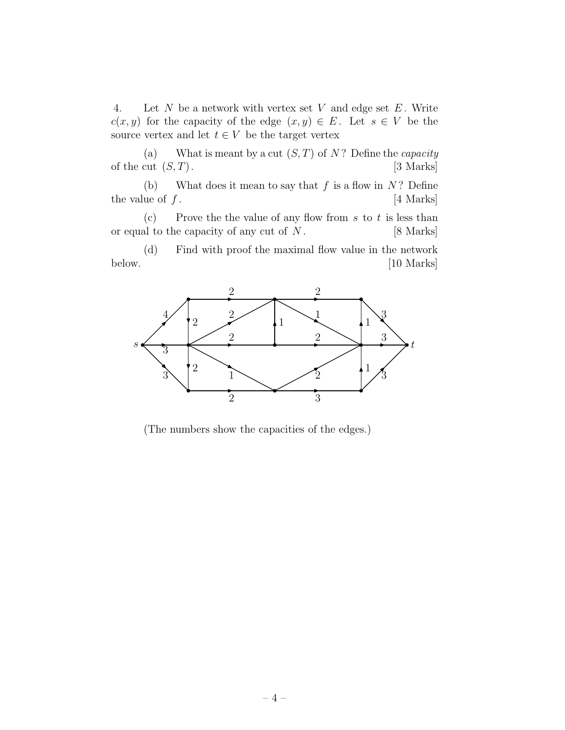4. Let N be a network with vertex set V and edge set  $E$ . Write  $c(x, y)$  for the capacity of the edge  $(x, y) \in E$ . Let  $s \in V$  be the source vertex and let  $t \in V$  be the target vertex

(a) What is meant by a cut  $(S, T)$  of N? Define the *capacity* of the cut  $(S, T)$ . [3 Marks]

(b) What does it mean to say that  $f$  is a flow in  $N$ ? Define the value of  $f$ . [4 Marks]

(c) Prove the the value of any flow from  $s$  to  $t$  is less than or equal to the capacity of any cut of  $N$ . [8 Marks]

(d) Find with proof the maximal flow value in the network below. [10 Marks]



(The numbers show the capacities of the edges.)